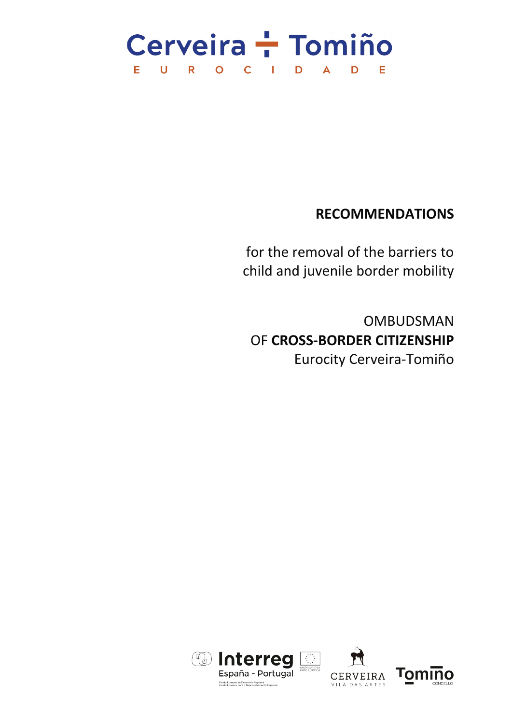### Cerveira - Tomiño U R O C I D E  $\overline{\mathsf{A}}$ D Е

# **RECOMMENDATIONS**

for the removal of the barriers to child and juvenile border mobility

OMBUDSMAN OF **CROSS-BORDER CITIZENSHIP** Eurocity Cerveira-Tomiño

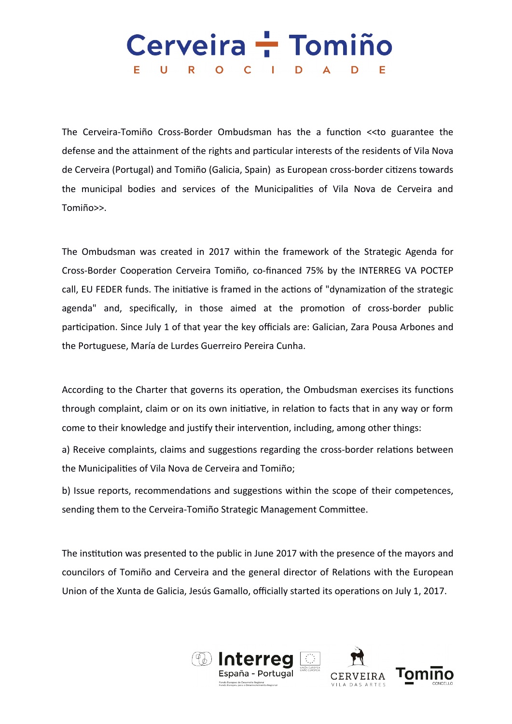#### Cerveira + Tomiño U R O C I D E.  $\blacktriangle$ D Е

The Cerveira-Tomiño Cross-Border Ombudsman has the a function <<to guarantee the defense and the attainment of the rights and particular interests of the residents of Vila Nova de Cerveira (Portugal) and Tomiño (Galicia, Spain) as European cross-border citizens towards the municipal bodies and services of the Municipalities of Vila Nova de Cerveira and Tomiño>>.

The Ombudsman was created in 2017 within the framework of the Strategic Agenda for Cross-Border Cooperation Cerveira Tomiño, co-financed 75% by the INTERREG VA POCTEP call, EU FEDER funds. The initiative is framed in the actions of "dynamization of the strategic agenda" and, specifically, in those aimed at the promotion of cross-border public participation. Since July 1 of that year the key officials are: Galician, Zara Pousa Arbones and the Portuguese, María de Lurdes Guerreiro Pereira Cunha.

According to the Charter that governs its operation, the Ombudsman exercises its functions through complaint, claim or on its own initiative, in relation to facts that in any way or form come to their knowledge and justify their intervention, including, among other things:

a) Receive complaints, claims and suggestions regarding the cross-border relations between the Municipalities of Vila Nova de Cerveira and Tomiño;

b) Issue reports, recommendations and suggestions within the scope of their competences, sending them to the Cerveira-Tomiño Strategic Management Committee.

The institution was presented to the public in June 2017 with the presence of the mayors and councilors of Tomiño and Cerveira and the general director of Relations with the European Union of the Xunta de Galicia, Jesús Gamallo, officially started its operations on July 1, 2017.

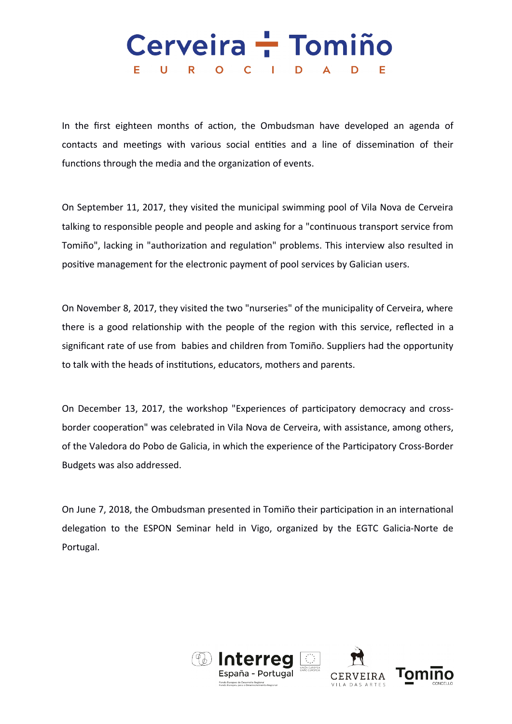#### Cerveira + Tomiño Е. U R O C I D  $\blacktriangle$ D Е

In the first eighteen months of action, the Ombudsman have developed an agenda of contacts and meetings with various social entities and a line of dissemination of their functions through the media and the organization of events.

On September 11, 2017, they visited the municipal swimming pool of Vila Nova de Cerveira talking to responsible people and people and asking for a "continuous transport service from Tomiño", lacking in "authorization and regulation" problems. This interview also resulted in positive management for the electronic payment of pool services by Galician users.

On November 8, 2017, they visited the two "nurseries" of the municipality of Cerveira, where there is a good relationship with the people of the region with this service, reflected in a significant rate of use from babies and children from Tomiño. Suppliers had the opportunity to talk with the heads of institutions, educators, mothers and parents.

On December 13, 2017, the workshop "Experiences of participatory democracy and crossborder cooperation" was celebrated in Vila Nova de Cerveira, with assistance, among others, of the Valedora do Pobo de Galicia, in which the experience of the Participatory Cross-Border Budgets was also addressed.

On June 7, 2018, the Ombudsman presented in Tomiño their participation in an international delegation to the ESPON Seminar held in Vigo, organized by the EGTC Galicia-Norte de Portugal.

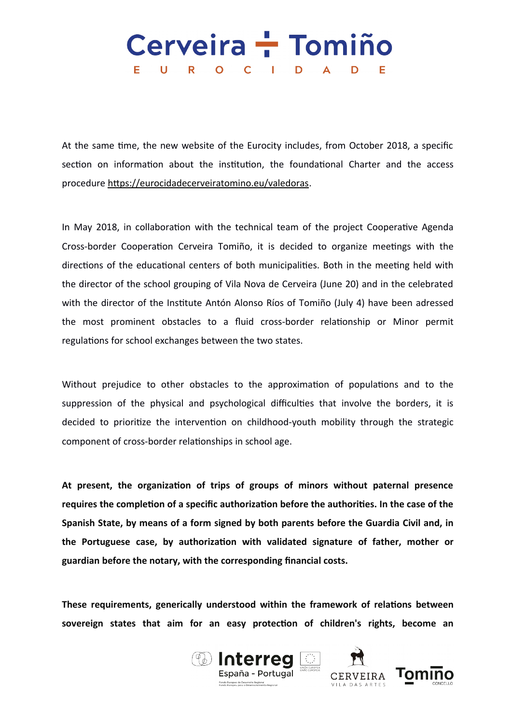# Cerveira - Tomiño E U R O C I D A D Е

At the same time, the new website of the Eurocity includes, from October 2018, a specific section on information about the institution, the foundational Charter and the access procedure [https://eurocidadecerveiratomino.eu/valedoras.](https://eurocidadecerveiratomino.eu/valedoras)

In May 2018, in collaboration with the technical team of the project Cooperative Agenda Cross-border Cooperation Cerveira Tomiño, it is decided to organize meetings with the directions of the educational centers of both municipalities. Both in the meeting held with the director of the school grouping of Vila Nova de Cerveira (June 20) and in the celebrated with the director of the Institute Antón Alonso Ríos of Tomiño (July 4) have been adressed the most prominent obstacles to a fluid cross-border relationship or Minor permit regulations for school exchanges between the two states.

Without prejudice to other obstacles to the approximation of populations and to the suppression of the physical and psychological difficulties that involve the borders, it is decided to prioritize the intervention on childhood-youth mobility through the strategic component of cross-border relationships in school age.

**At present, the organization of trips of groups of minors without paternal presence requires the completion of a specific authorization before the authorities. In the case of the Spanish State, by means of a form signed by both parents before the Guardia Civil and, in the Portuguese case, by authorization with validated signature of father, mother or guardian before the notary, with the corresponding financial costs.**

**These requirements, generically understood within the framework of relations between sovereign states that aim for an easy protection of children's rights, become an**





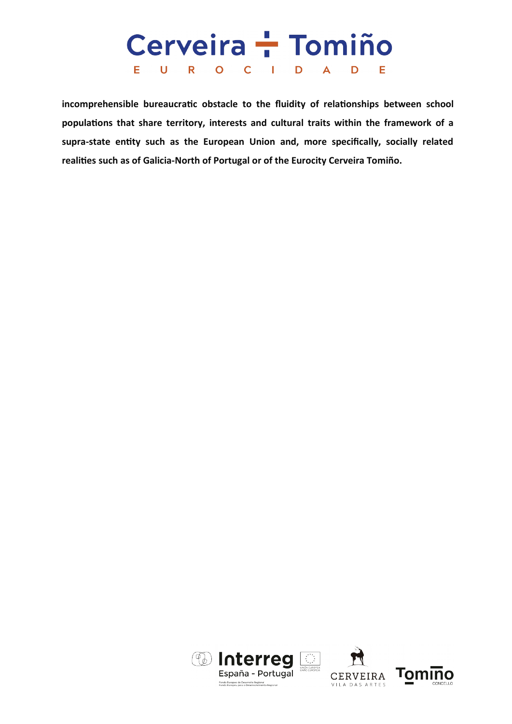#### Cerveira - Tomiño E U R O C I **D**  $\blacktriangle$ D Е

**incomprehensible bureaucratic obstacle to the fluidity of relationships between school populations that share territory, interests and cultural traits within the framework of a supra-state entity such as the European Union and, more specifically, socially related realities such as of Galicia-North of Portugal or of the Eurocity Cerveira Tomiño.**



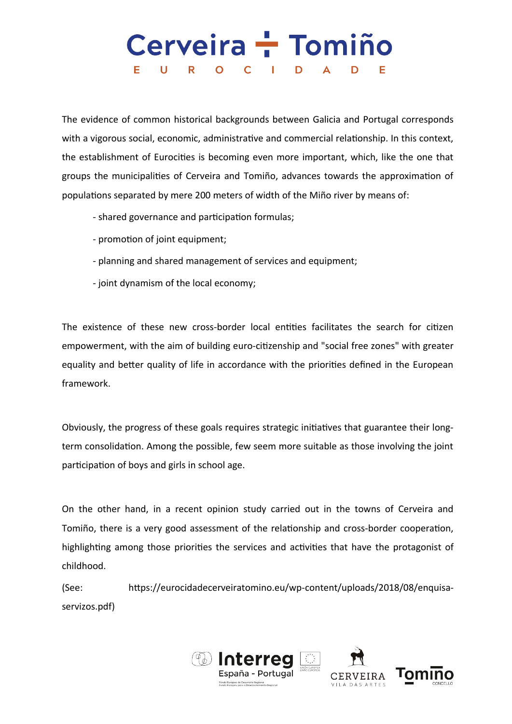### Cerveira - Tomiño Е. U R O C I D D Е

The evidence of common historical backgrounds between Galicia and Portugal corresponds with a vigorous social, economic, administrative and commercial relationship. In this context, the establishment of Eurocities is becoming even more important, which, like the one that groups the municipalities of Cerveira and Tomiño, advances towards the approximation of populations separated by mere 200 meters of width of the Miño river by means of:

- shared governance and participation formulas;
- promotion of joint equipment;
- planning and shared management of services and equipment;
- joint dynamism of the local economy;

The existence of these new cross-border local entities facilitates the search for citizen empowerment, with the aim of building euro-citizenship and "social free zones" with greater equality and better quality of life in accordance with the priorities defined in the European framework.

Obviously, the progress of these goals requires strategic initiatives that guarantee their longterm consolidation. Among the possible, few seem more suitable as those involving the joint participation of boys and girls in school age.

On the other hand, in a recent opinion study carried out in the towns of Cerveira and Tomiño, there is a very good assessment of the relationship and cross-border cooperation, highlighting among those priorities the services and activities that have the protagonist of childhood.

(See: https://eurocidadecerveiratomino.eu/wp-content/uploads/2018/08/enquisaservizos.pdf)

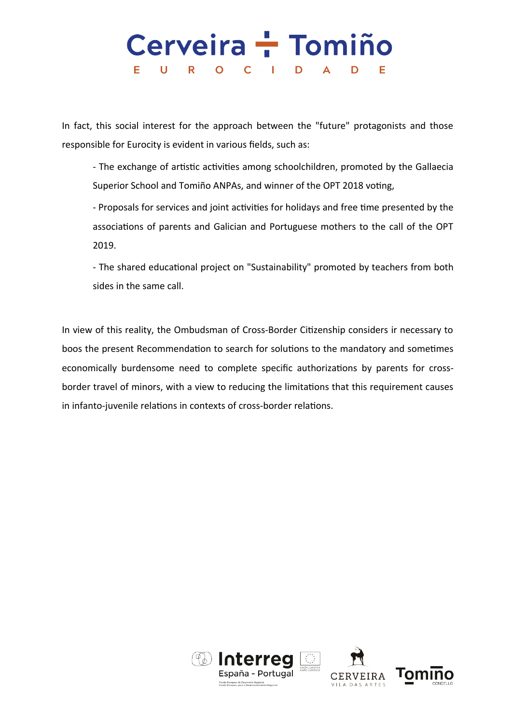#### Cerveira - Tomiño U R O C I Е. D  $\blacktriangle$ D Е

In fact, this social interest for the approach between the "future" protagonists and those responsible for Eurocity is evident in various fields, such as:

- The exchange of artistic activities among schoolchildren, promoted by the Gallaecia Superior School and Tomiño ANPAs, and winner of the OPT 2018 voting,

- Proposals for services and joint activities for holidays and free time presented by the associations of parents and Galician and Portuguese mothers to the call of the OPT 2019.

- The shared educational project on "Sustainability" promoted by teachers from both sides in the same call.

In view of this reality, the Ombudsman of Cross-Border Citizenship considers ir necessary to boos the present Recommendation to search for solutions to the mandatory and sometimes economically burdensome need to complete specific authorizations by parents for crossborder travel of minors, with a view to reducing the limitations that this requirement causes in infanto-juvenile relations in contexts of cross-border relations.

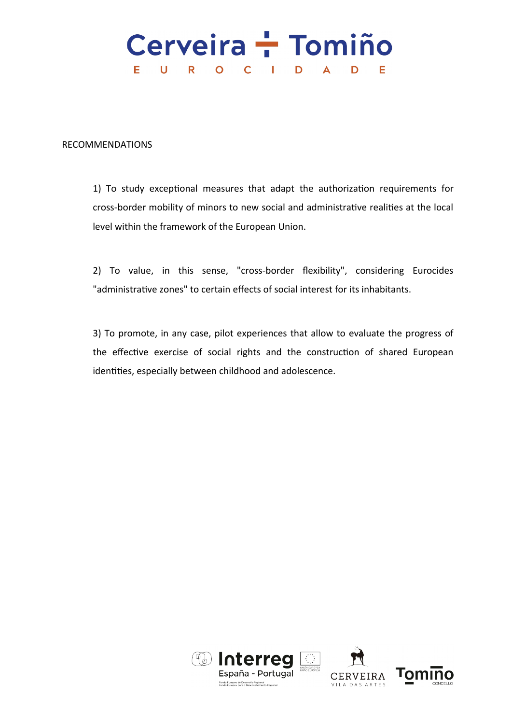# Cerveira + Tomiño E U R O C I D A D – E

RECOMMENDATIONS

1) To study exceptional measures that adapt the authorization requirements for cross-border mobility of minors to new social and administrative realities at the local level within the framework of the European Union.

2) To value, in this sense, "cross-border flexibility", considering Eurocides "administrative zones" to certain effects of social interest for its inhabitants.

3) To promote, in any case, pilot experiences that allow to evaluate the progress of the effective exercise of social rights and the construction of shared European identities, especially between childhood and adolescence.